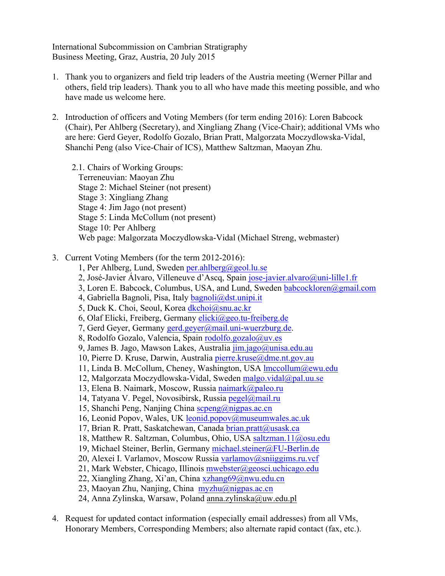International Subcommission on Cambrian Stratigraphy Business Meeting, Graz, Austria, 20 July 2015

- 1. Thank you to organizers and field trip leaders of the Austria meeting (Werner Pillar and others, field trip leaders). Thank you to all who have made this meeting possible, and who have made us welcome here.
- 2. Introduction of officers and Voting Members (for term ending 2016): Loren Babcock (Chair), Per Ahlberg (Secretary), and Xingliang Zhang (Vice-Chair); additional VMs who are here: Gerd Geyer, Rodolfo Gozalo, Brian Pratt, Malgorzata Moczydlowska-Vidal, Shanchi Peng (also Vice-Chair of ICS), Matthew Saltzman, Maoyan Zhu.

2.1. Chairs of Working Groups: Terreneuvian: Maoyan Zhu Stage 2: Michael Steiner (not present) Stage 3: Xingliang Zhang Stage 4: Jim Jago (not present) Stage 5: Linda McCollum (not present) Stage 10: Per Ahlberg Web page: Malgorzata Moczydlowska-Vidal (Michael Streng, webmaster)

- 3. Current Voting Members (for the term 2012-2016):
	- 1, Per Ahlberg, Lund, Sweden per.ahlberg@geol.lu.se
	- 2, José-Javier Álvaro, Villeneuve d'Ascq, Spain jose-javier.alvaro@uni-lille1.fr
	- 3, Loren E. Babcock, Columbus, USA, and Lund, Sweden babcockloren@gmail.com
	- 4, Gabriella Bagnoli, Pisa, Italy bagnoli@dst.unipi.it
	- 5, Duck K. Choi, Seoul, Korea dkchoi@snu.ac.kr
	- 6, Olaf Elicki, Freiberg, Germany elicki@geo.tu-freiberg.de
	- 7, Gerd Geyer, Germany gerd.geyer@mail.uni-wuerzburg.de.
	- 8, Rodolfo Gozalo, Valencia, Spain rodolfo.gozalo@uv.es
	- 9, James B. Jago, Mawson Lakes, Australia jim.jago@unisa.edu.au
	- 10, Pierre D. Kruse, Darwin, Australia pierre.kruse@dme.nt.gov.au
	- 11, Linda B. McCollum, Cheney, Washington, USA lmccollum@ewu.edu
	- 12, Malgorzata Moczydlowska-Vidal, Sweden malgo.vidal@pal.uu.se
	- 13, Elena B. Naimark, Moscow, Russia naimark@paleo.ru
	- 14, Tatyana V. Pegel, Novosibirsk, Russia pegel@mail.ru
	- 15, Shanchi Peng, Nanjing China scpeng@nigpas.ac.cn
	- 16, Leonid Popov, Wales, UK leonid.popov@museumwales.ac.uk
	- 17, Brian R. Pratt, Saskatchewan, Canada brian.pratt@usask.ca
	- 18, Matthew R. Saltzman, Columbus, Ohio, USA saltzman.11@osu.edu
	- 19, Michael Steiner, Berlin, Germany michael.steiner@FU-Berlin.de
	- 20, Alexei I. Varlamov, Moscow Russia varlamov@sniiggims.ru.vcf
	- 21, Mark Webster, Chicago, Illinois mwebster@geosci.uchicago.edu
	- 22, Xiangling Zhang, Xi'an, China xzhang69@nwu.edu.cn
	- 23, Maoyan Zhu, Nanjing, China  $myzhu(a)$ nigpas.ac.cn
	- 24, Anna Zylinska, Warsaw, Poland anna.zylinska@uw.edu.pl
- 4. Request for updated contact information (especially email addresses) from all VMs, Honorary Members, Corresponding Members; also alternate rapid contact (fax, etc.).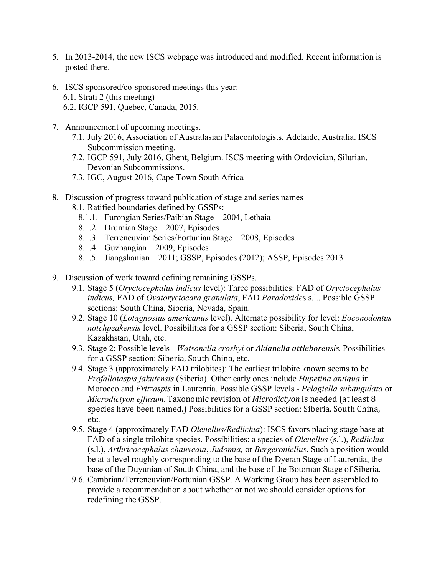- 5. In 2013-2014, the new ISCS webpage was introduced and modified. Recent information is posted there.
- 6. ISCS sponsored/co-sponsored meetings this year:
	- 6.1. Strati 2 (this meeting)
	- 6.2. IGCP 591, Quebec, Canada, 2015.
- 7. Announcement of upcoming meetings.
	- 7.1. July 2016, Association of Australasian Palaeontologists, Adelaide, Australia. ISCS Subcommission meeting.
	- 7.2. IGCP 591, July 2016, Ghent, Belgium. ISCS meeting with Ordovician, Silurian, Devonian Subcommissions.
	- 7.3. IGC, August 2016, Cape Town South Africa
- 8. Discussion of progress toward publication of stage and series names
	- 8.1. Ratified boundaries defined by GSSPs:
		- 8.1.1. Furongian Series/Paibian Stage 2004, Lethaia
		- 8.1.2. Drumian Stage 2007, Episodes
		- 8.1.3. Terreneuvian Series/Fortunian Stage 2008, Episodes
		- 8.1.4. Guzhangian 2009, Episodes
		- 8.1.5. Jiangshanian 2011; GSSP, Episodes (2012); ASSP, Episodes 2013
- 9. Discussion of work toward defining remaining GSSPs.
	- 9.1. Stage 5 (*Oryctocephalus indicus* level): Three possibilities: FAD of *Oryctocephalus indicus,* FAD of *Ovatoryctocara granulata*, FAD *Paradoxide*s s.l.. Possible GSSP sections: South China, Siberia, Nevada, Spain.
	- 9.2. Stage 10 (*Lotagnostus americanus* level). Alternate possibility for level: *Eoconodontus notchpeakensis* level. Possibilities for a GSSP section: Siberia, South China, Kazakhstan, Utah, etc.
	- 9.3. Stage 2: Possible levels *Watsonella crosbyi* or *Aldanella attleborensis*. Possibilities for a GSSP section: Siberia, South China, etc.
	- 9.4. Stage 3 (approximately FAD trilobites): The earliest trilobite known seems to be *Profallotaspis jakutensis* (Siberia). Other early ones include *Hupetina antiqua* in Morocco and *Fritzaspis* in Laurentia. Possible GSSP levels - *Pelagiella subangulata* or *Microdictyon effusum*. Taxonomic revision of *Microdictyon* is needed (at least 8 species have been named.) Possibilities for a GSSP section: Siberia, South China, etc.
	- 9.5. Stage 4 (approximately FAD *Olenellus/Redlichia*): ISCS favors placing stage base at FAD of a single trilobite species. Possibilities: a species of *Olenellus* (s.l.), *Redlichia* (s.l.), *Arthricocephalus chauveaui*, *Judomia,* or *Bergeroniellus*. Such a position would be at a level roughly corresponding to the base of the Dyeran Stage of Laurentia, the base of the Duyunian of South China, and the base of the Botoman Stage of Siberia.
	- 9.6. Cambrian/Terreneuvian/Fortunian GSSP. A Working Group has been assembled to provide a recommendation about whether or not we should consider options for redefining the GSSP.